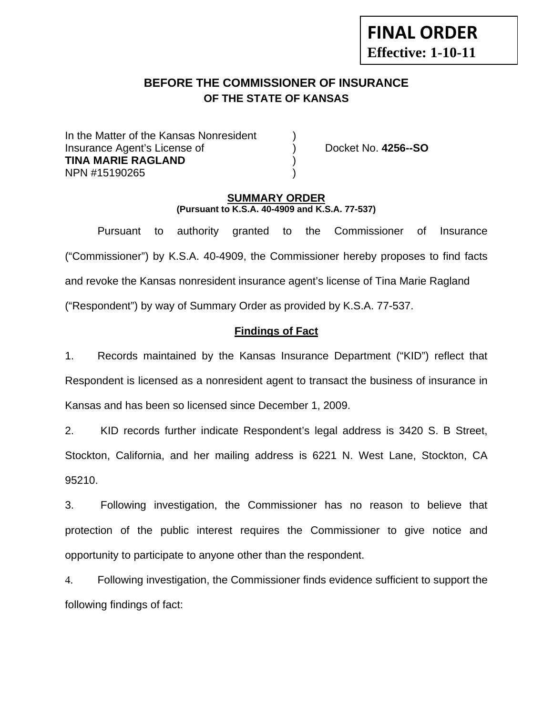# **FINAL ORDER Effective: 1-10-11**

## **BEFORE THE COMMISSIONER OF INSURANCE OF THE STATE OF KANSAS**

In the Matter of the Kansas Nonresident Insurance Agent's License of ) Docket No. **4256--SO TINA MARIE RAGLAND** ) NPN #15190265 )

### **SUMMARY ORDER (Pursuant to K.S.A. 40-4909 and K.S.A. 77-537)**

 Pursuant to authority granted to the Commissioner of Insurance ("Commissioner") by K.S.A. 40-4909, the Commissioner hereby proposes to find facts and revoke the Kansas nonresident insurance agent's license of Tina Marie Ragland ("Respondent") by way of Summary Order as provided by K.S.A. 77-537.

## **Findings of Fact**

1. Records maintained by the Kansas Insurance Department ("KID") reflect that Respondent is licensed as a nonresident agent to transact the business of insurance in Kansas and has been so licensed since December 1, 2009.

2. KID records further indicate Respondent's legal address is 3420 S. B Street, Stockton, California, and her mailing address is 6221 N. West Lane, Stockton, CA 95210.

3. Following investigation, the Commissioner has no reason to believe that protection of the public interest requires the Commissioner to give notice and opportunity to participate to anyone other than the respondent.

4. Following investigation, the Commissioner finds evidence sufficient to support the following findings of fact: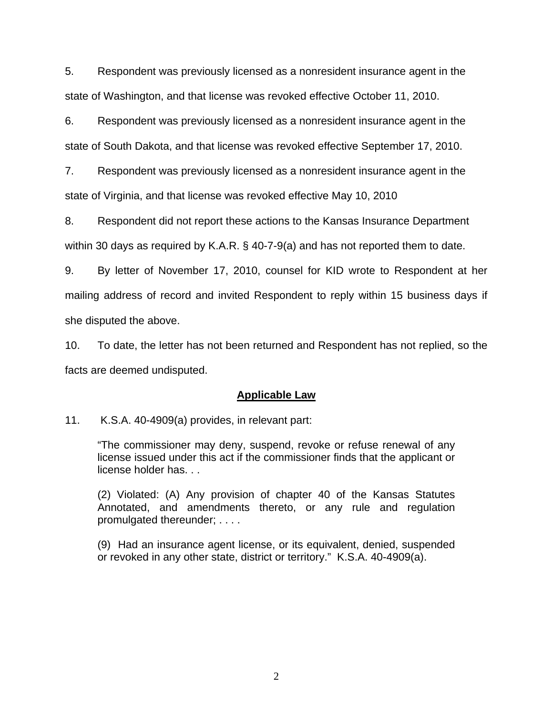5. Respondent was previously licensed as a nonresident insurance agent in the state of Washington, and that license was revoked effective October 11, 2010.

6. Respondent was previously licensed as a nonresident insurance agent in the state of South Dakota, and that license was revoked effective September 17, 2010.

7. Respondent was previously licensed as a nonresident insurance agent in the state of Virginia, and that license was revoked effective May 10, 2010

8. Respondent did not report these actions to the Kansas Insurance Department within 30 days as required by K.A.R. § 40-7-9(a) and has not reported them to date.

9. By letter of November 17, 2010, counsel for KID wrote to Respondent at her mailing address of record and invited Respondent to reply within 15 business days if she disputed the above.

10. To date, the letter has not been returned and Respondent has not replied, so the facts are deemed undisputed.

## **Applicable Law**

11. K.S.A. 40-4909(a) provides, in relevant part:

"The commissioner may deny, suspend, revoke or refuse renewal of any license issued under this act if the commissioner finds that the applicant or license holder has. . .

(2) Violated: (A) Any provision of chapter 40 of the Kansas Statutes Annotated, and amendments thereto, or any rule and regulation promulgated thereunder; . . . .

(9) Had an insurance agent license, or its equivalent, denied, suspended or revoked in any other state, district or territory." K.S.A. 40-4909(a).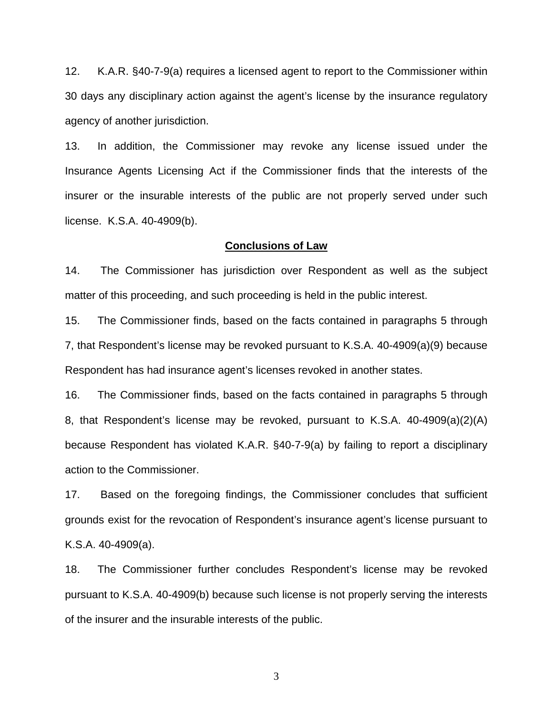12. K.A.R. §40-7-9(a) requires a licensed agent to report to the Commissioner within 30 days any disciplinary action against the agent's license by the insurance regulatory agency of another jurisdiction.

13. In addition, the Commissioner may revoke any license issued under the Insurance Agents Licensing Act if the Commissioner finds that the interests of the insurer or the insurable interests of the public are not properly served under such license. K.S.A. 40-4909(b).

#### **Conclusions of Law**

14. The Commissioner has jurisdiction over Respondent as well as the subject matter of this proceeding, and such proceeding is held in the public interest.

15. The Commissioner finds, based on the facts contained in paragraphs 5 through 7, that Respondent's license may be revoked pursuant to K.S.A. 40-4909(a)(9) because Respondent has had insurance agent's licenses revoked in another states.

16. The Commissioner finds, based on the facts contained in paragraphs 5 through 8, that Respondent's license may be revoked, pursuant to K.S.A. 40-4909(a)(2)(A) because Respondent has violated K.A.R. §40-7-9(a) by failing to report a disciplinary action to the Commissioner.

17. Based on the foregoing findings, the Commissioner concludes that sufficient grounds exist for the revocation of Respondent's insurance agent's license pursuant to K.S.A. 40-4909(a).

18. The Commissioner further concludes Respondent's license may be revoked pursuant to K.S.A. 40-4909(b) because such license is not properly serving the interests of the insurer and the insurable interests of the public.

3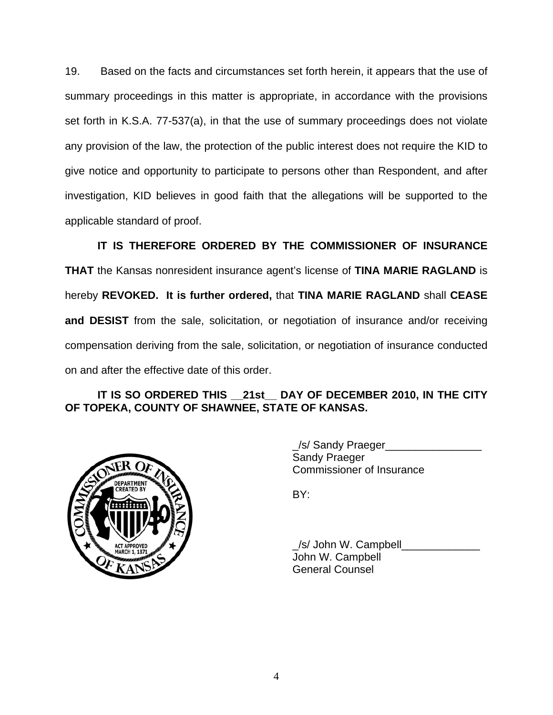19. Based on the facts and circumstances set forth herein, it appears that the use of summary proceedings in this matter is appropriate, in accordance with the provisions set forth in K.S.A. 77-537(a), in that the use of summary proceedings does not violate any provision of the law, the protection of the public interest does not require the KID to give notice and opportunity to participate to persons other than Respondent, and after investigation, KID believes in good faith that the allegations will be supported to the applicable standard of proof.

 **IT IS THEREFORE ORDERED BY THE COMMISSIONER OF INSURANCE THAT** the Kansas nonresident insurance agent's license of **TINA MARIE RAGLAND** is hereby **REVOKED. It is further ordered,** that **TINA MARIE RAGLAND** shall **CEASE and DESIST** from the sale, solicitation, or negotiation of insurance and/or receiving compensation deriving from the sale, solicitation, or negotiation of insurance conducted on and after the effective date of this order.

## **IT IS SO ORDERED THIS \_\_21st\_\_ DAY OF DECEMBER 2010, IN THE CITY OF TOPEKA, COUNTY OF SHAWNEE, STATE OF KANSAS.**



 \_/s/ Sandy Praeger\_\_\_\_\_\_\_\_\_\_\_\_\_\_\_\_ Sandy Praeger Commissioner of Insurance

/s/ John W. Campbell John W. Campbell General Counsel